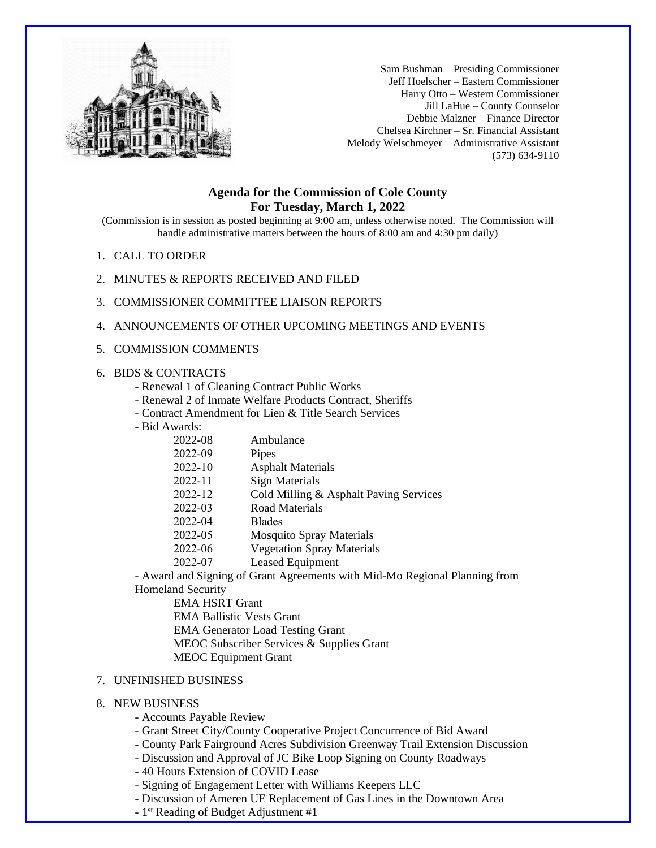

Sam Bushman – Presiding Commissioner Jeff Hoelscher – Eastern Commissioner Harry Otto – Western Commissioner Jill LaHue – County Counselor Debbie Malzner – Finance Director Chelsea Kirchner – Sr. Financial Assistant Melody Welschmeyer – Administrative Assistant (573) 634-9110

## **Agenda for the Commission of Cole County For Tuesday, March 1, 2022**

(Commission is in session as posted beginning at 9:00 am, unless otherwise noted. The Commission will handle administrative matters between the hours of 8:00 am and 4:30 pm daily)

- 1. CALL TO ORDER
- 2. MINUTES & REPORTS RECEIVED AND FILED
- 3. COMMISSIONER COMMITTEE LIAISON REPORTS
- 4. ANNOUNCEMENTS OF OTHER UPCOMING MEETINGS AND EVENTS
- 5. COMMISSION COMMENTS

## 6. BIDS & CONTRACTS

- Renewal 1 of Cleaning Contract Public Works
- Renewal 2 of Inmate Welfare Products Contract, Sheriffs
- Contract Amendment for Lien & Title Search Services
- Bid Awards:

| vaius.  |                                                      |
|---------|------------------------------------------------------|
| 2022-08 | Ambulance                                            |
| 2022-09 | Pipes                                                |
| 2022-10 | <b>Asphalt Materials</b>                             |
| 2022-11 | Sign Materials                                       |
| 2022-12 | Cold Milling & Asphalt Paving Services               |
| 2022-03 | Road Materials                                       |
| 2022-04 | <b>Blades</b>                                        |
| 2022-05 | <b>Mosquito Spray Materials</b>                      |
| 2022-06 | <b>Vegetation Spray Materials</b>                    |
| 2022-07 | Leased Equipment                                     |
|         | and Cianing of Creat Agreements with Mid Mo Degional |

- Award and Signing of Grant Agreements with Mid-Mo Regional Planning from Homeland Security

EMA HSRT Grant EMA Ballistic Vests Grant EMA Generator Load Testing Grant MEOC Subscriber Services & Supplies Grant MEOC Equipment Grant

## 7. UNFINISHED BUSINESS

## 8. NEW BUSINESS

- Accounts Payable Review
- Grant Street City/County Cooperative Project Concurrence of Bid Award
- County Park Fairground Acres Subdivision Greenway Trail Extension Discussion
- Discussion and Approval of JC Bike Loop Signing on County Roadways
- 40 Hours Extension of COVID Lease
- Signing of Engagement Letter with Williams Keepers LLC
- Discussion of Ameren UE Replacement of Gas Lines in the Downtown Area
- 1 st Reading of Budget Adjustment #1